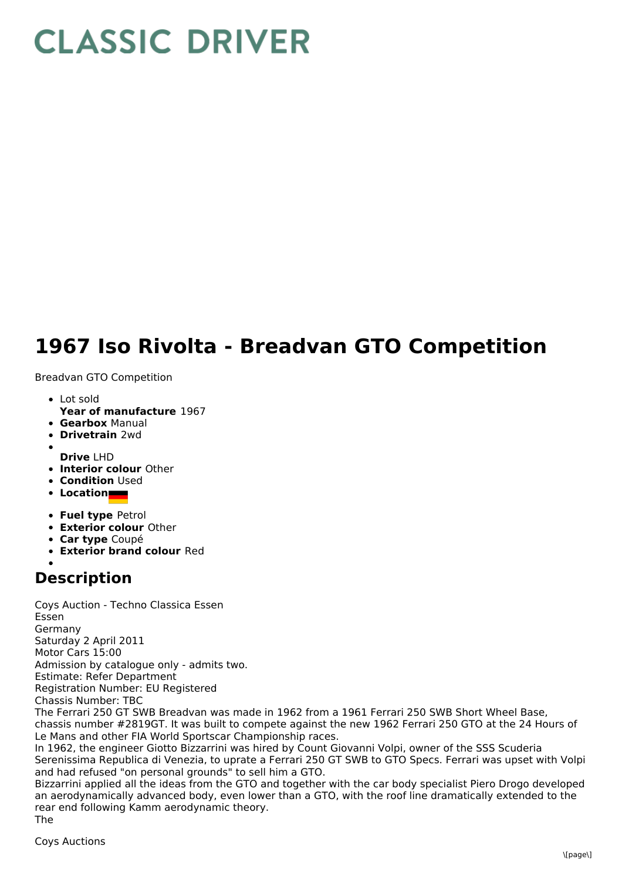## **CLASSIC DRIVER**

## **1967 Iso Rivolta - Breadvan GTO Competition**

Breadvan GTO Competition

- Lot sold
- **Year of manufacture** 1967
- **Gearbox** Manual
- **Drivetrain** 2wd
- 
- **Drive** LHD **Interior colour** Other
- **Condition Used**
- **Location**
- **Fuel type** Petrol
- **Exterior colour** Other
- **Car type** Coupé
- **Exterior brand colour** Red
- 

## **Description**

Coys Auction - Techno Classica Essen Essen Germany Saturday 2 April 2011 Motor Cars 15:00 Admission by catalogue only - admits two. Estimate: Refer Department Registration Number: EU Registered Chassis Number: TBC The Ferrari 250 GT SWB Breadvan was made in 1962 from a 1961 Ferrari 250 SWB Short Wheel Base, chassis number #2819GT. It was built to compete against the new 1962 Ferrari 250 GTO at the 24 Hours of Le Mans and other FIA World Sportscar Championship races. In 1962, the engineer Giotto Bizzarrini was hired by Count Giovanni Volpi, owner of the SSS Scuderia Serenissima Republica di Venezia, to uprate a Ferrari 250 GT SWB to GTO Specs. Ferrari was upset with Volpi and had refused "on personal grounds" to sell him a GTO.

Bizzarrini applied all the ideas from the GTO and together with the car body specialist Piero Drogo developed an aerodynamically advanced body, even lower than a GTO, with the roof line dramatically extended to the rear end following Kamm aerodynamic theory. The